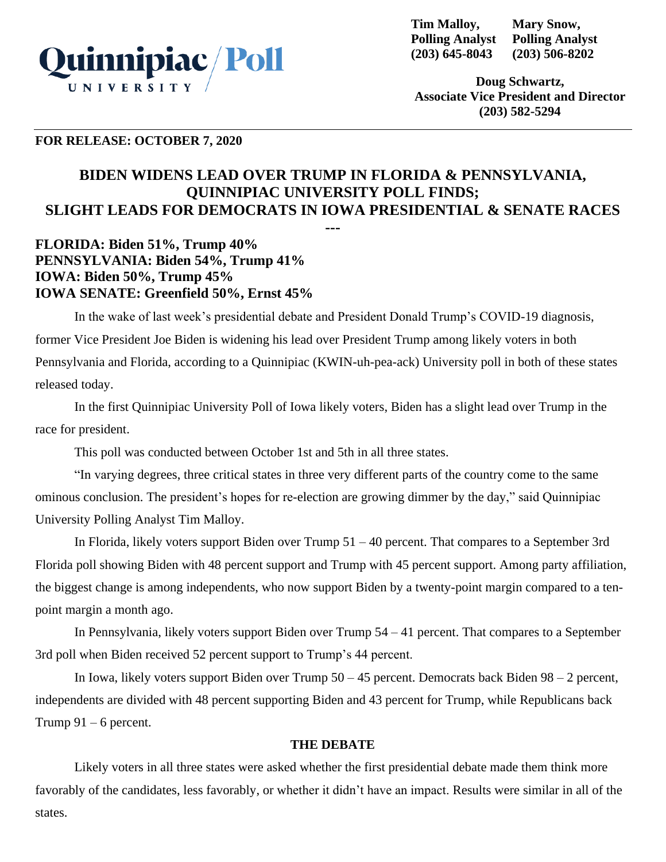

**Tim Malloy, Polling Analyst (203) 645-8043 Mary Snow, Polling Analyst (203) 506-8202**

**Doug Schwartz, Associate Vice President and Director (203) 582-5294**

### **FOR RELEASE: OCTOBER 7, 2020**

# **BIDEN WIDENS LEAD OVER TRUMP IN FLORIDA & PENNSYLVANIA, QUINNIPIAC UNIVERSITY POLL FINDS; SLIGHT LEADS FOR DEMOCRATS IN IOWA PRESIDENTIAL & SENATE RACES**

**---**

**FLORIDA: Biden 51%, Trump 40% PENNSYLVANIA: Biden 54%, Trump 41% IOWA: Biden 50%, Trump 45% IOWA SENATE: Greenfield 50%, Ernst 45%**

In the wake of last week's presidential debate and President Donald Trump's COVID-19 diagnosis, former Vice President Joe Biden is widening his lead over President Trump among likely voters in both Pennsylvania and Florida, according to a Quinnipiac (KWIN-uh-pea-ack) University poll in both of these states released today.

In the first Quinnipiac University Poll of Iowa likely voters, Biden has a slight lead over Trump in the race for president.

This poll was conducted between October 1st and 5th in all three states.

"In varying degrees, three critical states in three very different parts of the country come to the same ominous conclusion. The president's hopes for re-election are growing dimmer by the day," said Quinnipiac University Polling Analyst Tim Malloy.

In Florida, likely voters support Biden over Trump 51 – 40 percent. That compares to a September 3rd Florida poll showing Biden with 48 percent support and Trump with 45 percent support. Among party affiliation, the biggest change is among independents, who now support Biden by a twenty-point margin compared to a tenpoint margin a month ago.

In Pennsylvania, likely voters support Biden over Trump 54 – 41 percent. That compares to a September 3rd poll when Biden received 52 percent support to Trump's 44 percent.

In Iowa, likely voters support Biden over Trump 50 – 45 percent. Democrats back Biden 98 – 2 percent, independents are divided with 48 percent supporting Biden and 43 percent for Trump, while Republicans back Trump  $91 - 6$  percent.

#### **THE DEBATE**

Likely voters in all three states were asked whether the first presidential debate made them think more favorably of the candidates, less favorably, or whether it didn't have an impact. Results were similar in all of the states.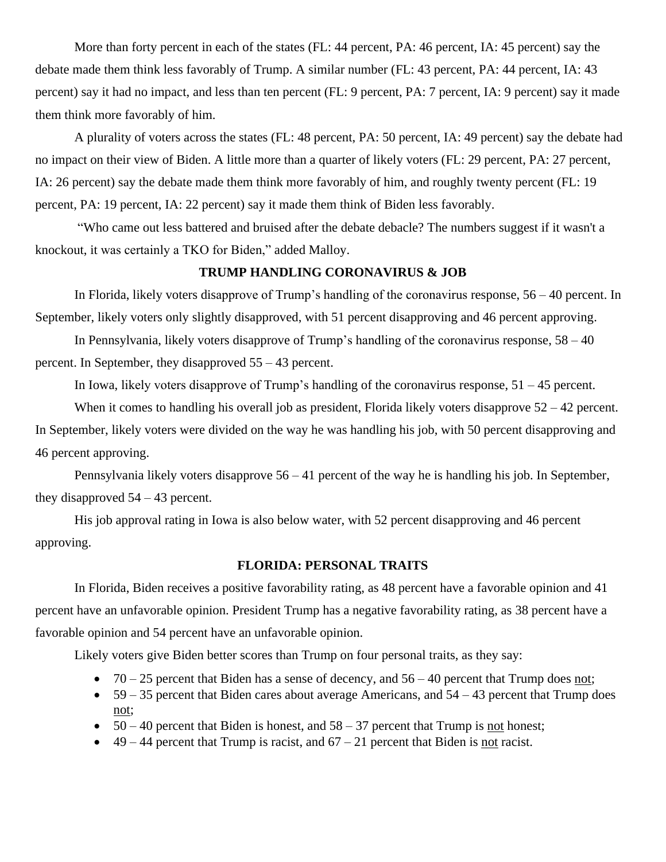More than forty percent in each of the states (FL: 44 percent, PA: 46 percent, IA: 45 percent) say the debate made them think less favorably of Trump. A similar number (FL: 43 percent, PA: 44 percent, IA: 43 percent) say it had no impact, and less than ten percent (FL: 9 percent, PA: 7 percent, IA: 9 percent) say it made them think more favorably of him.

A plurality of voters across the states (FL: 48 percent, PA: 50 percent, IA: 49 percent) say the debate had no impact on their view of Biden. A little more than a quarter of likely voters (FL: 29 percent, PA: 27 percent, IA: 26 percent) say the debate made them think more favorably of him, and roughly twenty percent (FL: 19 percent, PA: 19 percent, IA: 22 percent) say it made them think of Biden less favorably.

"Who came out less battered and bruised after the debate debacle? The numbers suggest if it wasn't a knockout, it was certainly a TKO for Biden," added Malloy.

### **TRUMP HANDLING CORONAVIRUS & JOB**

In Florida, likely voters disapprove of Trump's handling of the coronavirus response,  $56 - 40$  percent. In September, likely voters only slightly disapproved, with 51 percent disapproving and 46 percent approving.

In Pennsylvania, likely voters disapprove of Trump's handling of the coronavirus response, 58 – 40 percent. In September, they disapproved 55 – 43 percent.

In Iowa, likely voters disapprove of Trump's handling of the coronavirus response, 51 – 45 percent.

When it comes to handling his overall job as president, Florida likely voters disapprove  $52 - 42$  percent. In September, likely voters were divided on the way he was handling his job, with 50 percent disapproving and 46 percent approving.

Pennsylvania likely voters disapprove 56 – 41 percent of the way he is handling his job. In September, they disapproved  $54 - 43$  percent.

His job approval rating in Iowa is also below water, with 52 percent disapproving and 46 percent approving.

### **FLORIDA: PERSONAL TRAITS**

In Florida, Biden receives a positive favorability rating, as 48 percent have a favorable opinion and 41 percent have an unfavorable opinion. President Trump has a negative favorability rating, as 38 percent have a favorable opinion and 54 percent have an unfavorable opinion.

Likely voters give Biden better scores than Trump on four personal traits, as they say:

- $70 25$  percent that Biden has a sense of decency, and  $56 40$  percent that Trump does not;
- $59 35$  percent that Biden cares about average Americans, and  $54 43$  percent that Trump does not;
- $50 40$  percent that Biden is honest, and  $58 37$  percent that Trump is not honest;
- $49 44$  percent that Trump is racist, and  $67 21$  percent that Biden is <u>not</u> racist.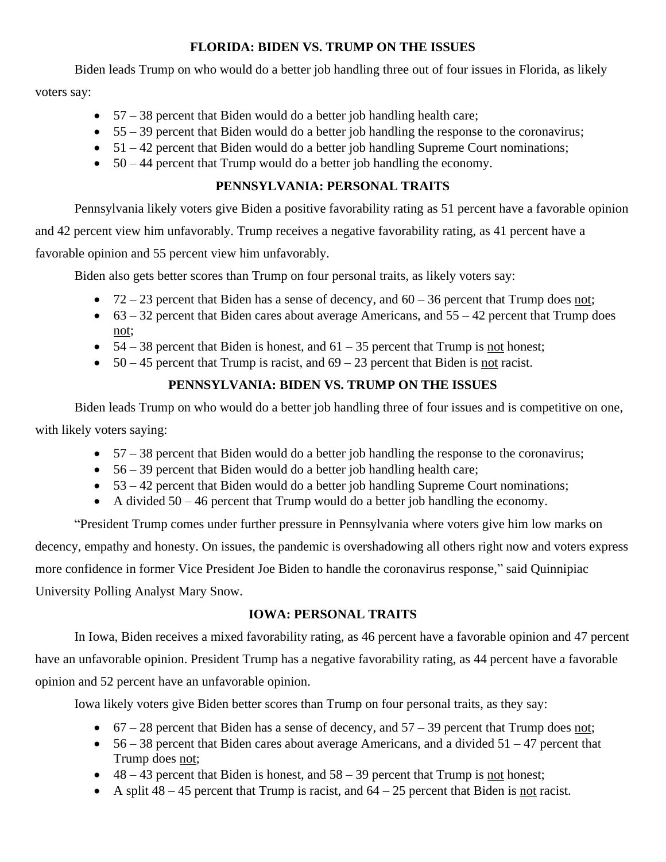### **FLORIDA: BIDEN VS. TRUMP ON THE ISSUES**

Biden leads Trump on who would do a better job handling three out of four issues in Florida, as likely

voters say:

- $57 38$  percent that Biden would do a better job handling health care;
- $\bullet$  55 39 percent that Biden would do a better job handling the response to the coronavirus;
- $\bullet$  51 42 percent that Biden would do a better job handling Supreme Court nominations;
- $50 44$  percent that Trump would do a better job handling the economy.

### **PENNSYLVANIA: PERSONAL TRAITS**

Pennsylvania likely voters give Biden a positive favorability rating as 51 percent have a favorable opinion

and 42 percent view him unfavorably. Trump receives a negative favorability rating, as 41 percent have a

favorable opinion and 55 percent view him unfavorably.

Biden also gets better scores than Trump on four personal traits, as likely voters say:

- $72 23$  percent that Biden has a sense of decency, and  $60 36$  percent that Trump does not;
- $63 32$  percent that Biden cares about average Americans, and  $55 42$  percent that Trump does not;
- $54 38$  percent that Biden is honest, and  $61 35$  percent that Trump is <u>not</u> honest;
- $50 45$  percent that Trump is racist, and  $69 23$  percent that Biden is not racist.

## **PENNSYLVANIA: BIDEN VS. TRUMP ON THE ISSUES**

Biden leads Trump on who would do a better job handling three of four issues and is competitive on one, with likely voters saying:

- $\bullet$  57 38 percent that Biden would do a better job handling the response to the coronavirus;
- $\bullet$  56 39 percent that Biden would do a better job handling health care;
- $\bullet$  53 42 percent that Biden would do a better job handling Supreme Court nominations;
- A divided  $50 46$  percent that Trump would do a better job handling the economy.

"President Trump comes under further pressure in Pennsylvania where voters give him low marks on decency, empathy and honesty. On issues, the pandemic is overshadowing all others right now and voters express more confidence in former Vice President Joe Biden to handle the coronavirus response," said Quinnipiac University Polling Analyst Mary Snow.

### **IOWA: PERSONAL TRAITS**

In Iowa, Biden receives a mixed favorability rating, as 46 percent have a favorable opinion and 47 percent have an unfavorable opinion. President Trump has a negative favorability rating, as 44 percent have a favorable opinion and 52 percent have an unfavorable opinion.

Iowa likely voters give Biden better scores than Trump on four personal traits, as they say:

- $67 28$  percent that Biden has a sense of decency, and  $57 39$  percent that Trump does not;
- $56 38$  percent that Biden cares about average Americans, and a divided  $51 47$  percent that Trump does not;
- $48 43$  percent that Biden is honest, and  $58 39$  percent that Trump is not honest;
- A split  $48 45$  percent that Trump is racist, and  $64 25$  percent that Biden is not racist.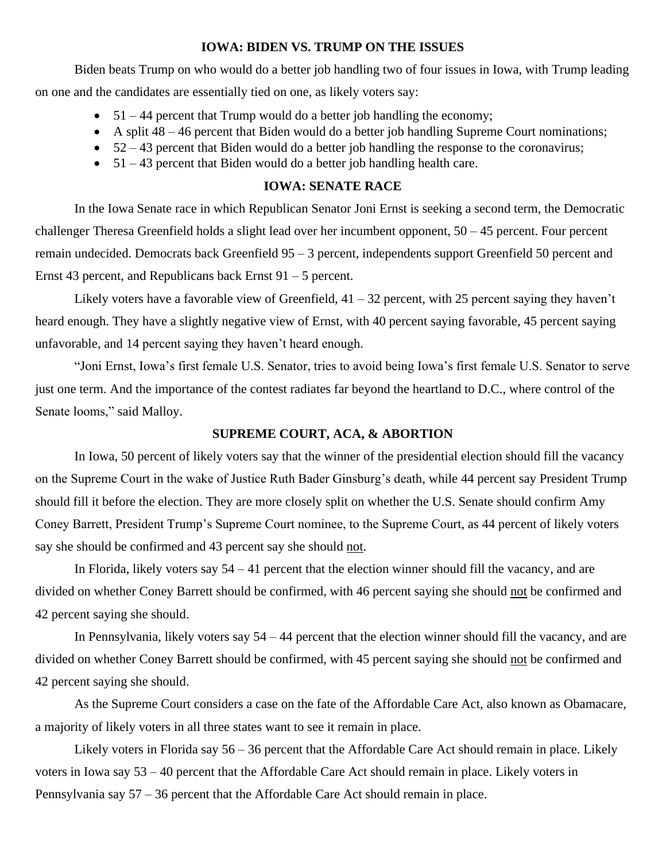#### **IOWA: BIDEN VS. TRUMP ON THE ISSUES**

Biden beats Trump on who would do a better job handling two of four issues in Iowa, with Trump leading on one and the candidates are essentially tied on one, as likely voters say:

- $\bullet$  51 44 percent that Trump would do a better job handling the economy;
- A split  $48 46$  percent that Biden would do a better job handling Supreme Court nominations;
- $\bullet$  52 43 percent that Biden would do a better job handling the response to the coronavirus;
- 51 43 percent that Biden would do a better job handling health care.

### **IOWA: SENATE RACE**

In the Iowa Senate race in which Republican Senator Joni Ernst is seeking a second term, the Democratic challenger Theresa Greenfield holds a slight lead over her incumbent opponent, 50 – 45 percent. Four percent remain undecided. Democrats back Greenfield 95 – 3 percent, independents support Greenfield 50 percent and Ernst 43 percent, and Republicans back Ernst 91 – 5 percent.

Likely voters have a favorable view of Greenfield,  $41 - 32$  percent, with 25 percent saying they haven't heard enough. They have a slightly negative view of Ernst, with 40 percent saying favorable, 45 percent saying unfavorable, and 14 percent saying they haven't heard enough.

"Joni Ernst, Iowa's first female U.S. Senator, tries to avoid being Iowa's first female U.S. Senator to serve just one term. And the importance of the contest radiates far beyond the heartland to D.C., where control of the Senate looms," said Malloy.

#### **SUPREME COURT, ACA, & ABORTION**

In Iowa, 50 percent of likely voters say that the winner of the presidential election should fill the vacancy on the Supreme Court in the wake of Justice Ruth Bader Ginsburg's death, while 44 percent say President Trump should fill it before the election. They are more closely split on whether the U.S. Senate should confirm Amy Coney Barrett, President Trump's Supreme Court nominee, to the Supreme Court, as 44 percent of likely voters say she should be confirmed and 43 percent say she should not.

In Florida, likely voters say  $54 - 41$  percent that the election winner should fill the vacancy, and are divided on whether Coney Barrett should be confirmed, with 46 percent saying she should not be confirmed and 42 percent saying she should.

In Pennsylvania, likely voters say 54 – 44 percent that the election winner should fill the vacancy, and are divided on whether Coney Barrett should be confirmed, with 45 percent saying she should not be confirmed and 42 percent saying she should.

As the Supreme Court considers a case on the fate of the Affordable Care Act, also known as Obamacare, a majority of likely voters in all three states want to see it remain in place.

Likely voters in Florida say 56 – 36 percent that the Affordable Care Act should remain in place. Likely voters in Iowa say 53 – 40 percent that the Affordable Care Act should remain in place. Likely voters in Pennsylvania say 57 – 36 percent that the Affordable Care Act should remain in place.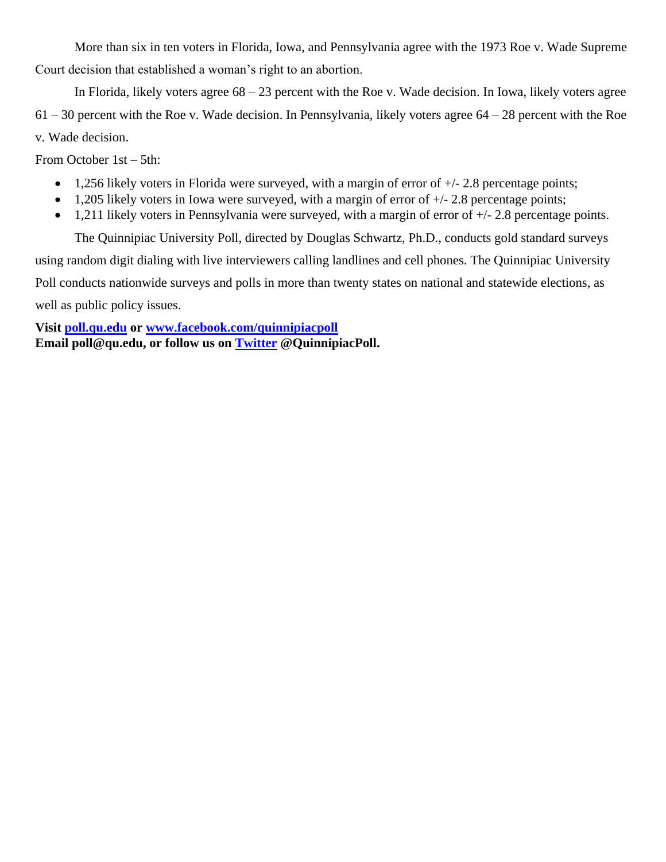More than six in ten voters in Florida, Iowa, and Pennsylvania agree with the 1973 Roe v. Wade Supreme Court decision that established a woman's right to an abortion.

In Florida, likely voters agree 68 – 23 percent with the Roe v. Wade decision. In Iowa, likely voters agree  $61 - 30$  percent with the Roe v. Wade decision. In Pennsylvania, likely voters agree  $64 - 28$  percent with the Roe v. Wade decision.

From October 1st – 5th:

- 1,256 likely voters in Florida were surveyed, with a margin of error of  $+/- 2.8$  percentage points;
- 1,205 likely voters in Iowa were surveyed, with a margin of error of  $+/- 2.8$  percentage points;
- 1,211 likely voters in Pennsylvania were surveyed, with a margin of error of  $+/- 2.8$  percentage points.

The Quinnipiac University Poll, directed by Douglas Schwartz, Ph.D., conducts gold standard surveys

using random digit dialing with live interviewers calling landlines and cell phones. The Quinnipiac University

Poll conducts nationwide surveys and polls in more than twenty states on national and statewide elections, as

well as public policy issues.

**Visit [poll.qu.edu](https://poll.qu.edu/) or [www.facebook.com/quinnipiacpoll](http://www.facebook.com/quinnipiacpoll)  Email poll@qu.edu, or follow us on [Twitter](http://twitter.com/QuinnipiacPoll) @QuinnipiacPoll.**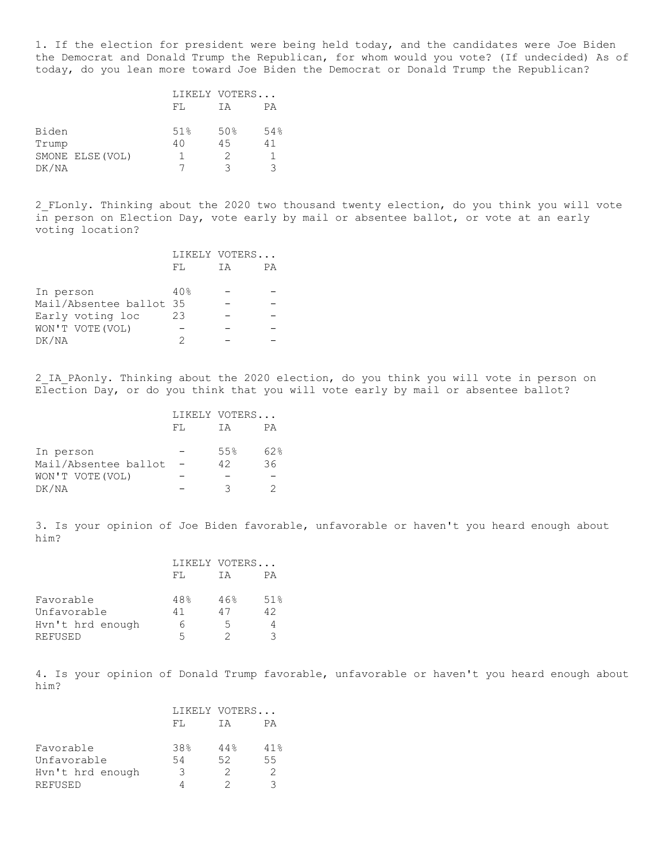1. If the election for president were being held today, and the candidates were Joe Biden the Democrat and Donald Trump the Republican, for whom would you vote? (If undecided) As of today, do you lean more toward Joe Biden the Democrat or Donald Trump the Republican?

|       |                  | LIKELY VOTERS |     |     |
|-------|------------------|---------------|-----|-----|
|       |                  | FL            | ТA  | РA  |
| Biden |                  | 51%           | 50% | 54% |
| Trump |                  | 40            | 45  | 41  |
|       | SMONE ELSE (VOL) |               |     |     |
| DK/NA |                  |               | ੨   | ੨   |

2\_FLonly. Thinking about the 2020 two thousand twenty election, do you think you will vote in person on Election Day, vote early by mail or absentee ballot, or vote at an early voting location?

|                         |     | LIKELY VOTERS |    |
|-------------------------|-----|---------------|----|
|                         | FL  | ТA            | РA |
|                         |     |               |    |
| In person               | 40% |               |    |
| Mail/Absentee ballot 35 |     |               |    |
| Early voting loc        | 23  |               |    |
| WON'T VOTE (VOL)        |     |               |    |
| DK/NA                   |     |               |    |

2 IA PAonly. Thinking about the 2020 election, do you think you will vote in person on Election Day, or do you think that you will vote early by mail or absentee ballot?

|                      |     | LIKELY VOTERS |     |  |
|----------------------|-----|---------------|-----|--|
|                      | FT. | ТA            | РA  |  |
|                      |     |               |     |  |
| In person            |     | 55%           | 62% |  |
| Mail/Absentee ballot |     | 42            | 36  |  |
| WON'T VOTE (VOL)     |     |               |     |  |
| DK/NA                |     | ੨             |     |  |

3. Is your opinion of Joe Biden favorable, unfavorable or haven't you heard enough about him?

|                  |     | LIKELY VOTERS |     |  |
|------------------|-----|---------------|-----|--|
|                  | FT. | ТA            | PА  |  |
| Favorable        | 48% | 46%           | 51% |  |
| Unfavorable      | 41  | 47            | 42  |  |
| Hyn't hrd enough | 6   | 5             |     |  |
| <b>REFUSED</b>   | 5   |               | ੨   |  |

4. Is your opinion of Donald Trump favorable, unfavorable or haven't you heard enough about him?

|                  |     | LIKELY VOTERS |     |
|------------------|-----|---------------|-----|
|                  | FT. | ТA            | РA  |
| Favorable        | 38% | 44%           | 41% |
| Unfavorable      | 54  | 52            | 55  |
| Hyn't hrd enough | 3   | 2             |     |
| <b>REFUSED</b>   |     |               |     |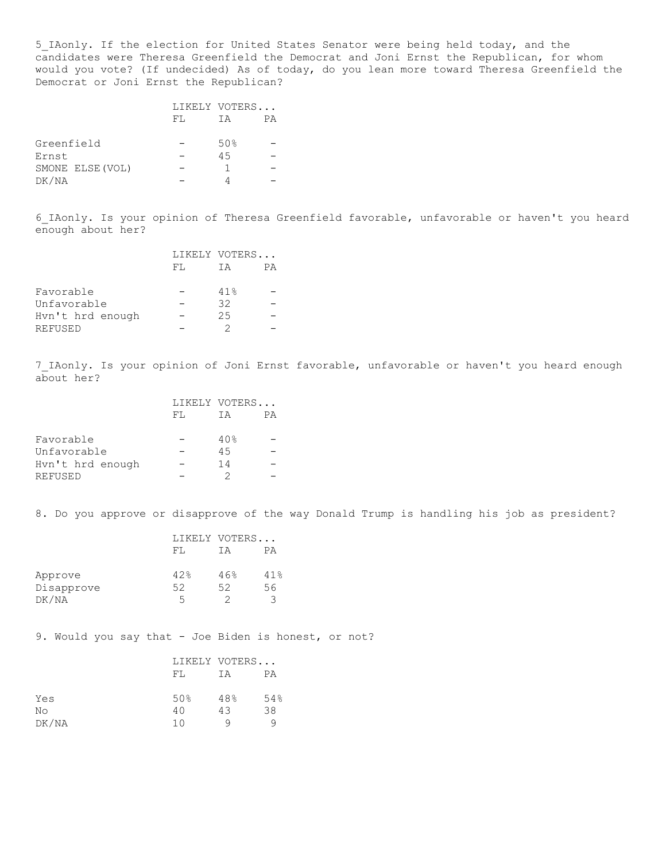5\_IAonly. If the election for United States Senator were being held today, and the candidates were Theresa Greenfield the Democrat and Joni Ernst the Republican, for whom would you vote? (If undecided) As of today, do you lean more toward Theresa Greenfield the Democrat or Joni Ernst the Republican?

|                  |     | LIKELY VOTERS |    |
|------------------|-----|---------------|----|
|                  | FT. | ТA            | PА |
|                  |     |               |    |
| Greenfield       |     | 50%           |    |
| Ernst            |     | 45            |    |
| SMONE ELSE (VOL) |     |               |    |
| DK/NA            |     |               |    |

6\_IAonly. Is your opinion of Theresa Greenfield favorable, unfavorable or haven't you heard enough about her?

|                  |     | LIKELY VOTERS |    |
|------------------|-----|---------------|----|
|                  | FT. | ТA            | PА |
|                  |     |               |    |
| Favorable        |     | 41%           |    |
| Unfavorable      |     | 32            |    |
| Hyn't hrd enough |     | 25            |    |
| REFUSED          |     |               |    |

7\_IAonly. Is your opinion of Joni Ernst favorable, unfavorable or haven't you heard enough about her?

|                  |     | LIKELY VOTERS |    |  |
|------------------|-----|---------------|----|--|
|                  | FT. | T A           | РA |  |
| Favorable        |     | 40%           |    |  |
| Unfavorable      |     | 4.5           |    |  |
| Hyn't hrd enough |     | 14            |    |  |
| REFUSED          |     |               |    |  |

8. Do you approve or disapprove of the way Donald Trump is handling his job as president?

|            |     | LIKELY VOTERS |     |  |
|------------|-----|---------------|-----|--|
|            | FT. | ΤA            | PА  |  |
| Approve    | 42% | 46%           | 41% |  |
| Disapprove | 52  | 52            | 56  |  |
| DK/NA      | 5   |               | ∍   |  |

9. Would you say that - Joe Biden is honest, or not?

|       | LIKELY VOTERS |     |     |
|-------|---------------|-----|-----|
|       | FL.           | IΑ  | РA  |
| Yes   | 50%           | 48% | 54% |
| No    | 40            | 43  | 38  |
| DK/NA | 1 N           | Q   |     |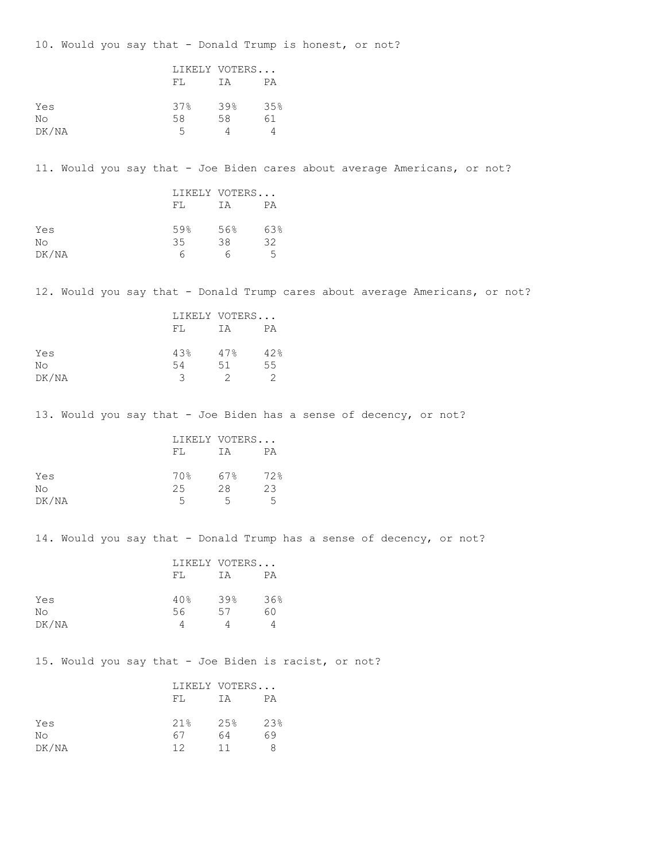10. Would you say that - Donald Trump is honest, or not?

|       |     | LIKELY VOTERS |     |
|-------|-----|---------------|-----|
|       | FL  | ΙA            | PА  |
| Yes   | 37% | 39%           | 35% |
| No    | 58  | 58            | 61  |
| DK/NA | 5   |               |     |

11. Would you say that - Joe Biden cares about average Americans, or not?

|       | LIKELY VOTERS |     |     |
|-------|---------------|-----|-----|
|       | FT.           | ΙA  | РA  |
| Yes   | 59%           | 56% | 63% |
| No    | 35            | 38  | 32  |
| DK/NA |               | n   | 5   |

12. Would you say that - Donald Trump cares about average Americans, or not?

|       | LIKELY VOTERS |     |     |
|-------|---------------|-----|-----|
|       | FT.           | IΑ  | РA  |
| Yes   | 43%           | 47% | 42% |
| No    | 54            | 51  | 55  |
| DK/NA | ੨             |     |     |

13. Would you say that - Joe Biden has a sense of decency, or not?

|       |     | LIKELY VOTERS |     |  |
|-------|-----|---------------|-----|--|
|       | FT. | ТA            | РA  |  |
| Yes   | 70% | 67%           | 72% |  |
| No    | 25  | 28            | 23  |  |
| DK/NA | 5   | 5             | 5   |  |

14. Would you say that - Donald Trump has a sense of decency, or not?

|       | LIKELY VOTERS |     |     |
|-------|---------------|-----|-----|
|       | FT.           | ΤA  | РA  |
|       | 40%           | 39% | 36% |
| Yes   |               |     |     |
| No    | 56            | 57  | 60  |
| DK/NA |               |     |     |

15. Would you say that - Joe Biden is racist, or not?

|       |     | LIKELY VOTERS |     |
|-------|-----|---------------|-----|
|       | FT. | ТA            | РA  |
| Yes   | 21% | 2.5%          | 23% |
| No    | 67  | 64            | 69  |
| DK/NA | 12  | 11            |     |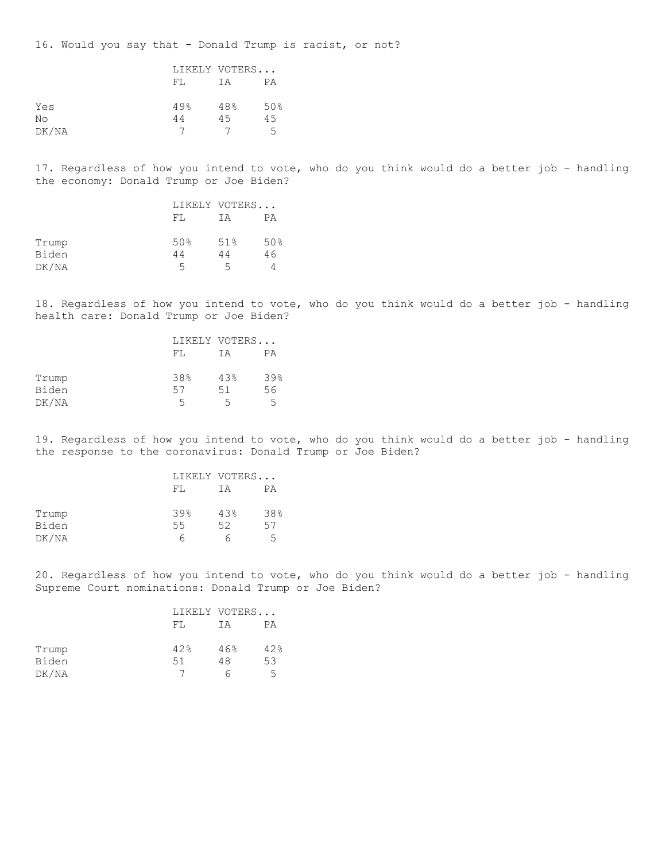16. Would you say that - Donald Trump is racist, or not?

|       |     | LIKELY VOTERS |     |  |
|-------|-----|---------------|-----|--|
|       | FL  | IΑ            | РA  |  |
| Yes   | 49% | 48%           | 50% |  |
| No    | 44  | 4.5           | 45  |  |
| DK/NA |     |               | 5   |  |

17. Regardless of how you intend to vote, who do you think would do a better job - handling the economy: Donald Trump or Joe Biden?

|       |     | LIKELY VOTERS |     |  |
|-------|-----|---------------|-----|--|
|       | FT. | ΤA            | РA  |  |
| Trump | 50% | 51%           | 50% |  |
| Biden | 44  | 44            | 46  |  |
| DK/NA | 5   | 5             |     |  |

18. Regardless of how you intend to vote, who do you think would do a better job - handling health care: Donald Trump or Joe Biden?

|       |     | LIKELY VOTERS |     |  |
|-------|-----|---------------|-----|--|
|       | FT. | TΑ            | РA  |  |
| Trump | 38% | 43%           | 39% |  |
| Biden | 57  | 51            | 56  |  |
| DK/NA | 5   | 5             | 5   |  |

19. Regardless of how you intend to vote, who do you think would do a better job - handling the response to the coronavirus: Donald Trump or Joe Biden?

|       | LIKELY VOTERS |     |     |
|-------|---------------|-----|-----|
|       | FT.           | ΤA  | PА  |
| Trump | 39%           | 43% | 38% |
| Biden | 55            | 52  | 57  |
| DK/NA | n             | n   | 5   |

20. Regardless of how you intend to vote, who do you think would do a better job - handling Supreme Court nominations: Donald Trump or Joe Biden?

|       | FT. | LIKELY VOTERS<br>ΤA | PА  |
|-------|-----|---------------------|-----|
| Trump | 42% | 46%                 | 42% |
| Biden | 51  | 48                  | 53  |
| DK/NA |     |                     | 5   |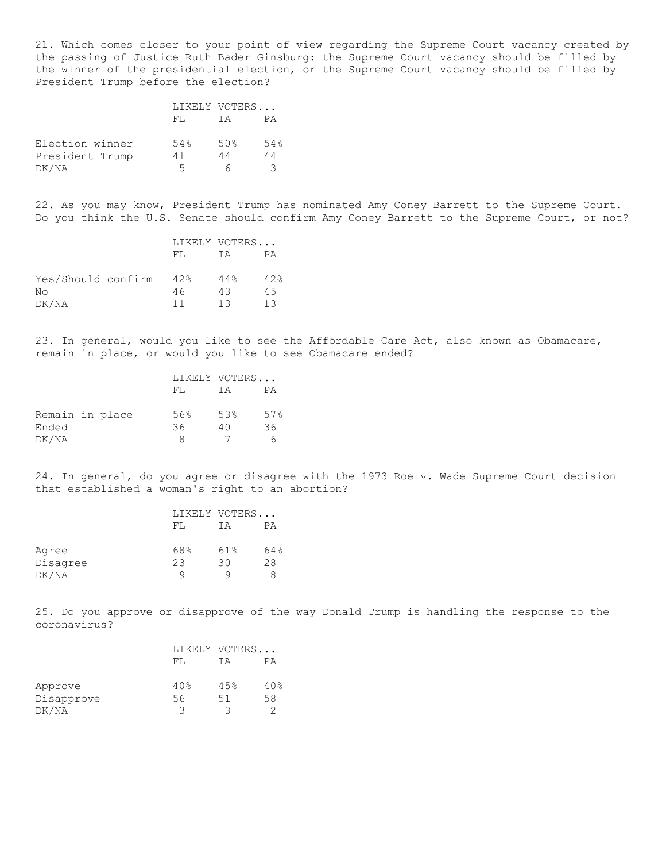21. Which comes closer to your point of view regarding the Supreme Court vacancy created by the passing of Justice Ruth Bader Ginsburg: the Supreme Court vacancy should be filled by the winner of the presidential election, or the Supreme Court vacancy should be filled by President Trump before the election?

|                 |     | LIKELY VOTERS |     |
|-----------------|-----|---------------|-----|
|                 | FT. | TΑ            | PА  |
| Election winner | 54% | 50%           | 54% |
| President Trump | 41  | 44            | 44  |
| DK/NA           | 5   |               |     |

22. As you may know, President Trump has nominated Amy Coney Barrett to the Supreme Court. Do you think the U.S. Senate should confirm Amy Coney Barrett to the Supreme Court, or not?

|                    |     | LIKELY VOTERS |     |  |
|--------------------|-----|---------------|-----|--|
|                    | FT. | T A           | PА  |  |
| Yes/Should confirm | 42% | 44%           | 42% |  |
| Nο                 | 46  | 43            | 4.5 |  |
| DK/NA              | 11  | 13            | 13  |  |

23. In general, would you like to see the Affordable Care Act, also known as Obamacare, remain in place, or would you like to see Obamacare ended?

|                 |     |     | LIKELY VOTERS |  |  |
|-----------------|-----|-----|---------------|--|--|
|                 | FT. | ΤA  | PА            |  |  |
| Remain in place | 56% | 53% | 57%           |  |  |
| Ended           | 36  | 40  | 36            |  |  |
| DK/NA           | я   |     |               |  |  |

24. In general, do you agree or disagree with the 1973 Roe v. Wade Supreme Court decision that established a woman's right to an abortion?

|          |     | LIKELY VOTERS |     |
|----------|-----|---------------|-----|
|          | FT. | ΤA            | РA  |
| Agree    | 68% | 61%           | 64% |
| Disagree | 23  | 30            | 28  |
| DK/NA    | Q   |               |     |

25. Do you approve or disapprove of the way Donald Trump is handling the response to the coronavirus?

|            |     | LIKELY VOTERS |     |
|------------|-----|---------------|-----|
|            | FT. | ТA            | PА  |
| Approve    | 40% | 45%           | 40% |
| Disapprove | 56  | 51            | 58  |
| DK/NA      | ੨   | ર             |     |